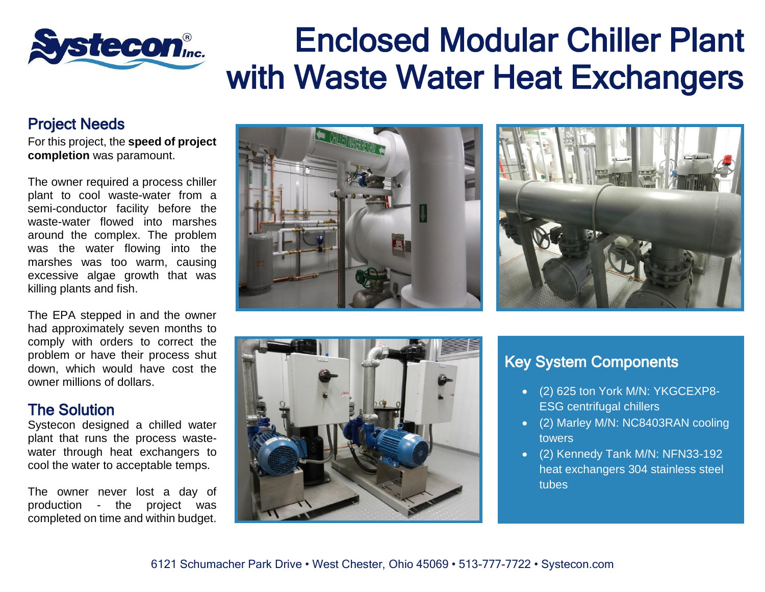## Enclosed Modular Chiller Plant stecon® with Waste Water Heat Exchangers

## Project Needs

For this project, the **speed of project completion** was paramount.

The owner required a process chiller plant to cool waste-water from a semi-conductor facility before the waste-water flowed into marshes around the complex. The problem was the water flowing into the marshes was too warm, causing excessive algae growth that was killing plants and fish.

The EPA stepped in and the owner had approximately seven months to comply with orders to correct the problem or have their process shut down, which would have cost the owner millions of dollars.

## The Solution

Systecon designed a chilled water plant that runs the process wastewater through heat exchangers to cool the water to acceptable temps.

The owner never lost a day of production - the project was completed on time and within budget.







## Key System Components

- (2) 625 ton York M/N: YKGCEXP8- ESG centrifugal chillers
- (2) Marley M/N: NC8403RAN cooling towers
- (2) Kennedy Tank M/N: NFN33-192 heat exchangers 304 stainless steel tubes